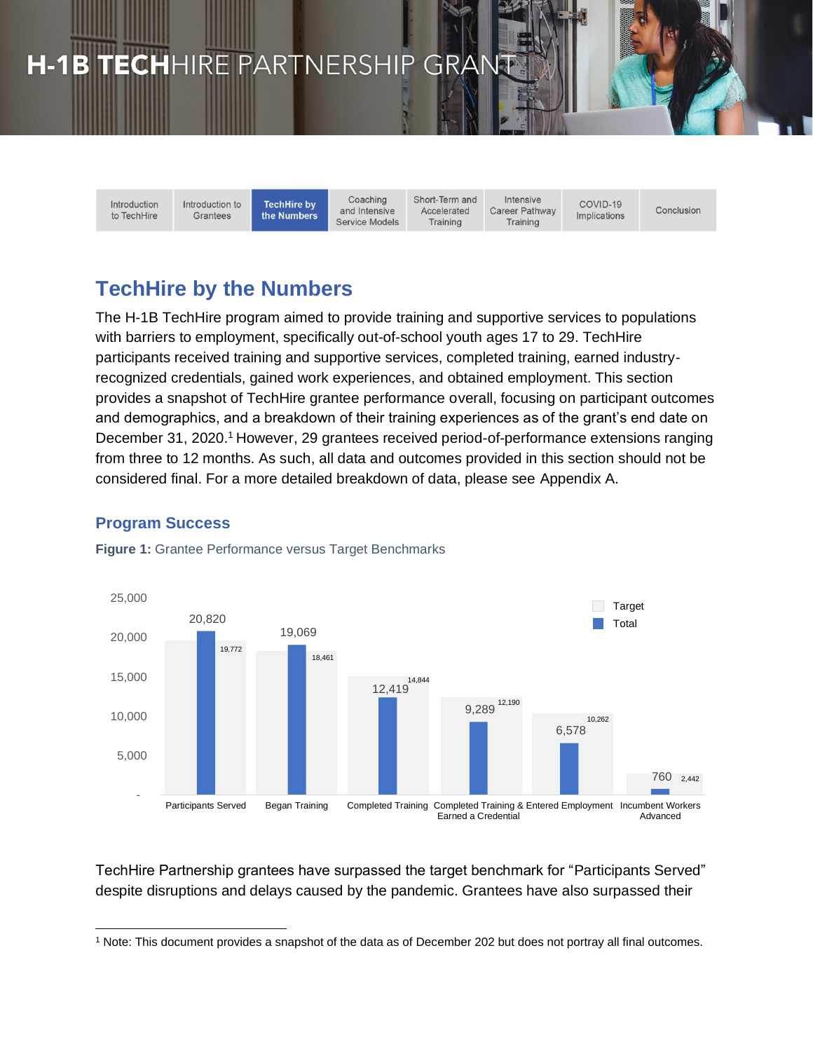# H-1B TECHHIRE PARTNERSHIP GRAN

Introduction to TechHire

Introduction to **TechHire by** Grantees the Numbers

Coaching and Intensive **Service Models**  Short-Term and Accelerated Training

Intensive Career Pathway Training

COVID-19 Implications

Conclusion

# **TechHire by the Numbers**

The H-1B TechHire program aimed to provide training and supportive services to populations with barriers to employment, specifically out-of-school youth ages 17 to 29. TechHire participants received training and supportive services, completed training, earned industryrecognized credentials, gained work experiences, and obtained employment. This section provides a snapshot of TechHire grantee performance overall, focusing on participant outcomes and demographics, and a breakdown of their training experiences as of the grant's end date on December 31, 2020.<sup>1</sup> However, 29 grantees received period-of-performance extensions ranging from three to 12 months. As such, all data and outcomes provided in this section should not be considered final. For a more detailed breakdown of data, please see Appendix A.

# **Program Success**



**Figure 1:** Grantee Performance versus Target Benchmarks

TechHire Partnership grantees have surpassed the target benchmark for "Participants Served" despite disruptions and delays caused by the pandemic. Grantees have also surpassed their

<sup>1</sup> Note: This document provides a snapshot of the data as of December 202 but does not portray all final outcomes.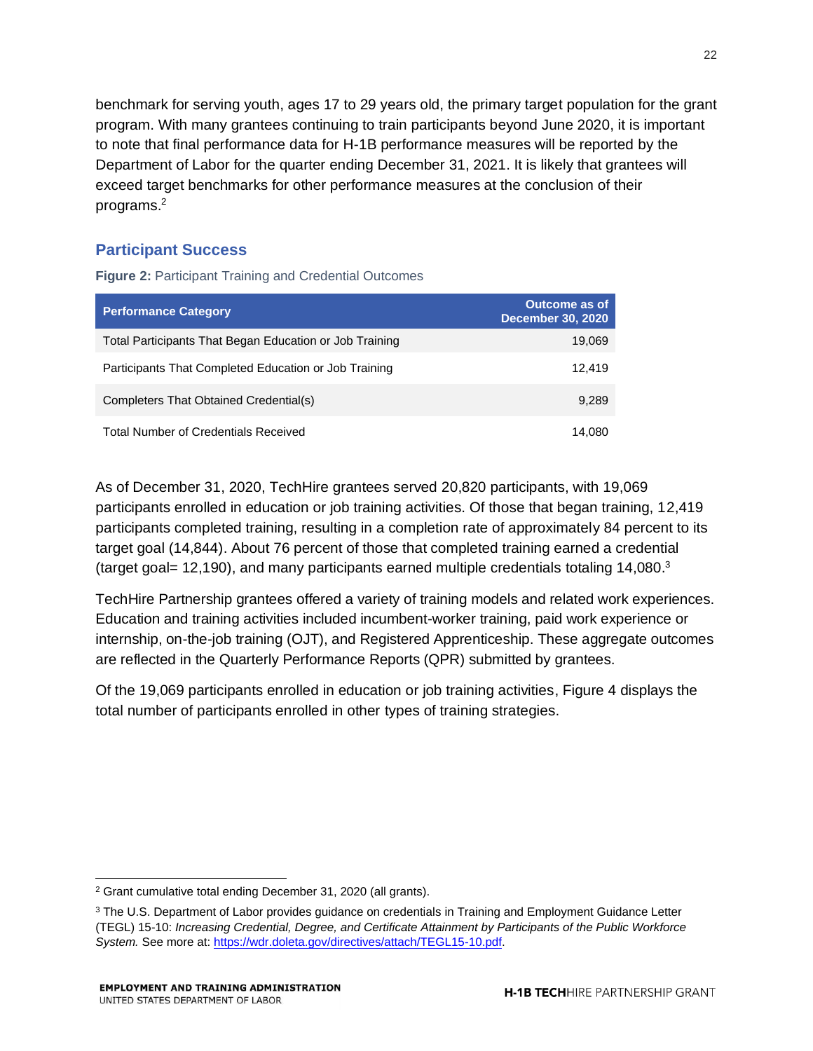benchmark for serving youth, ages 17 to 29 years old, the primary target population for the grant program. With many grantees continuing to train participants beyond June 2020, it is important to note that final performance data for H-1B performance measures will be reported by the Department of Labor for the quarter ending December 31, 2021. It is likely that grantees will exceed target benchmarks for other performance measures at the conclusion of their programs.<sup>2</sup>

# **Participant Success**

**Figure 2:** Participant Training and Credential Outcomes

| <b>Performance Category</b>                             | <b>Outcome as of</b><br><b>December 30, 2020</b> |
|---------------------------------------------------------|--------------------------------------------------|
| Total Participants That Began Education or Job Training | 19,069                                           |
| Participants That Completed Education or Job Training   | 12.419                                           |
| Completers That Obtained Credential(s)                  | 9.289                                            |
| <b>Total Number of Credentials Received</b>             | 14.080                                           |

As of December 31, 2020, TechHire grantees served 20,820 participants, with 19,069 participants enrolled in education or job training activities. Of those that began training, 12,419 participants completed training, resulting in a completion rate of approximately 84 percent to its target goal (14,844). About 76 percent of those that completed training earned a credential (target goal= 12,190), and many participants earned multiple credentials totaling 14,080.<sup>3</sup>

TechHire Partnership grantees offered a variety of training models and related work experiences. Education and training activities included incumbent-worker training, paid work experience or internship, on-the-job training (OJT), and Registered Apprenticeship. These aggregate outcomes are reflected in the Quarterly Performance Reports (QPR) submitted by grantees.

Of the 19,069 participants enrolled in education or job training activities, Figure 4 displays the total number of participants enrolled in other types of training strategies.

<sup>2</sup> Grant cumulative total ending December 31, 2020 (all grants).

<sup>&</sup>lt;sup>3</sup> The U.S. Department of Labor provides guidance on credentials in Training and Employment Guidance Letter (TEGL) 15-10: *Increasing Credential, Degree, and Certificate Attainment by Participants of the Public Workforce System.* See more at: [https://wdr.doleta.gov/directives/attach/TEGL15-10.pdf.](https://wdr.doleta.gov/directives/attach/TEGL15-10.pdf)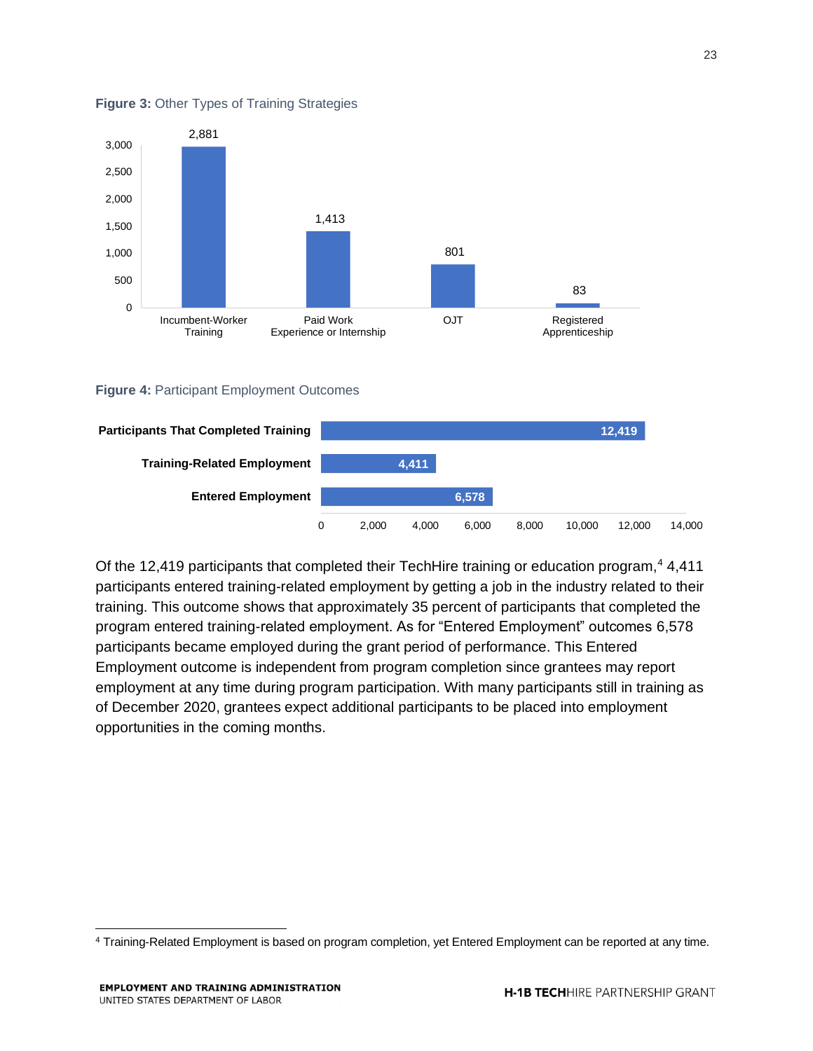

#### **Figure 3:** Other Types of Training Strategies

#### **Figure 4:** Participant Employment Outcomes



Of the 12,419 participants that completed their TechHire training or education program,<sup>4</sup> 4,411 participants entered training-related employment by getting a job in the industry related to their training. This outcome shows that approximately 35 percent of participants that completed the program entered training-related employment. As for "Entered Employment" outcomes 6,578 participants became employed during the grant period of performance. This Entered Employment outcome is independent from program completion since grantees may report employment at any time during program participation. With many participants still in training as of December 2020, grantees expect additional participants to be placed into employment opportunities in the coming months.

23

<sup>4</sup> Training-Related Employment is based on program completion, yet Entered Employment can be reported at any time.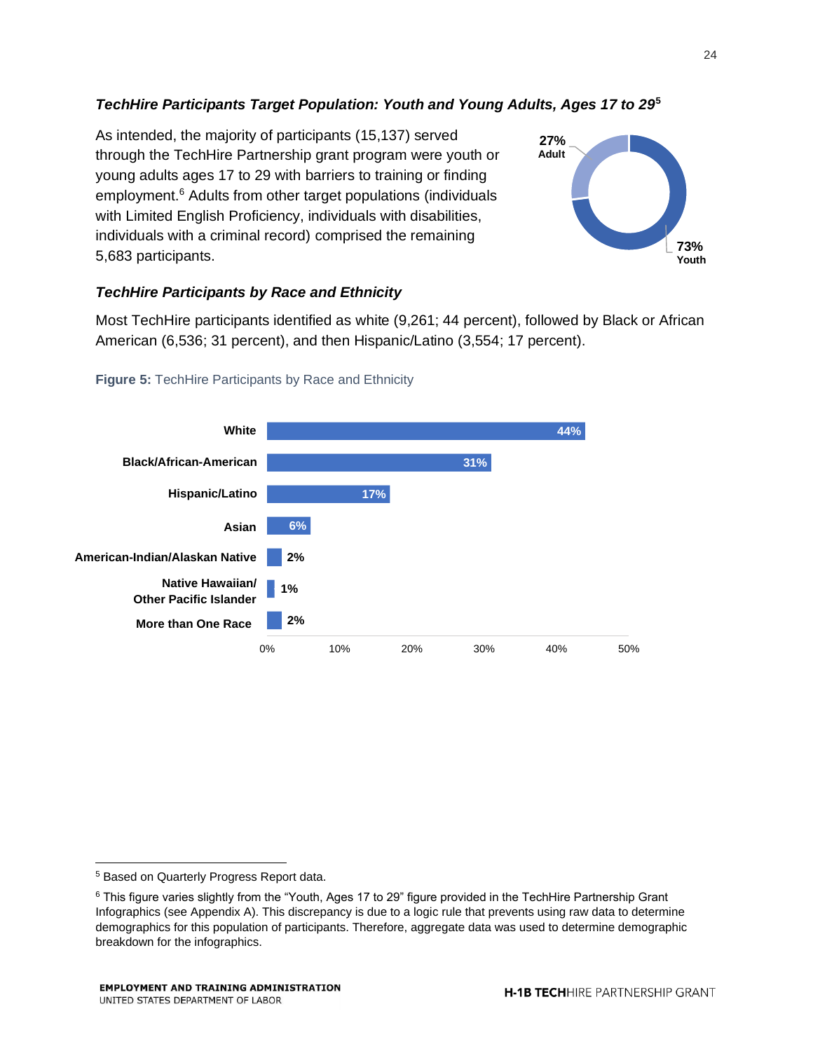### *TechHire Participants Target Population: Youth and Young Adults, Ages 17 to 29***<sup>5</sup>**

As intended, the majority of participants (15,137) served through the TechHire Partnership grant program were youth or young adults ages 17 to 29 with barriers to training or finding employment.<sup>6</sup> Adults from other target populations (individuals with Limited English Proficiency, individuals with disabilities, individuals with a criminal record) comprised the remaining 5,683 participants.



#### *TechHire Participants by Race and Ethnicity*

Most TechHire participants identified as white (9,261; 44 percent), followed by Black or African American (6,536; 31 percent), and then Hispanic/Latino (3,554; 17 percent).



#### **Figure 5:** TechHire Participants by Race and Ethnicity

<sup>5</sup> Based on Quarterly Progress Report data.

<sup>6</sup> This figure varies slightly from the "Youth, Ages 17 to 29" figure provided in the TechHire Partnership Grant Infographics (see Appendix A). This discrepancy is due to a logic rule that prevents using raw data to determine demographics for this population of participants. Therefore, aggregate data was used to determine demographic breakdown for the infographics.